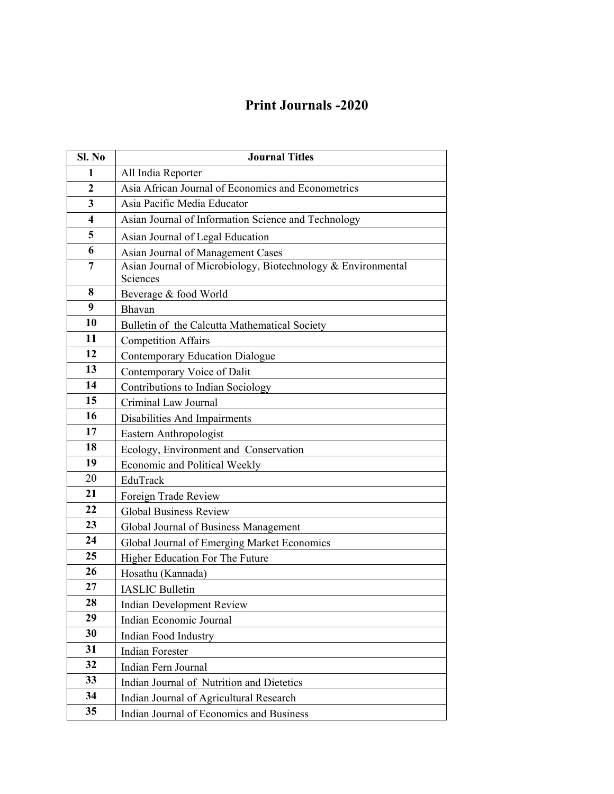## **Print Journals -2020**

| Sl. No         | <b>Journal Titles</b>                                        |
|----------------|--------------------------------------------------------------|
| 1              | All India Reporter                                           |
| $\overline{2}$ | Asia African Journal of Economics and Econometrics           |
| 3              | Asia Pacific Media Educator                                  |
| 4              | Asian Journal of Information Science and Technology          |
| 5              | Asian Journal of Legal Education                             |
| 6              | Asian Journal of Management Cases                            |
| $\overline{7}$ | Asian Journal of Microbiology, Biotechnology & Environmental |
|                | Sciences                                                     |
| 8              | Beverage & food World                                        |
| 9              | Bhavan                                                       |
| 10             | Bulletin of the Calcutta Mathematical Society                |
| 11             | <b>Competition Affairs</b>                                   |
| 12             | <b>Contemporary Education Dialogue</b>                       |
| 13             | Contemporary Voice of Dalit                                  |
| 14             | Contributions to Indian Sociology                            |
| 15             | Criminal Law Journal                                         |
| 16             | Disabilities And Impairments                                 |
| 17             | Eastern Anthropologist                                       |
| 18             | Ecology, Environment and Conservation                        |
| 19             | Economic and Political Weekly                                |
| 20             | EduTrack                                                     |
| 21             | Foreign Trade Review                                         |
| 22             | <b>Global Business Review</b>                                |
| 23             | Global Journal of Business Management                        |
| 24             | Global Journal of Emerging Market Economics                  |
| 25             | Higher Education For The Future                              |
| 26             | Hosathu (Kannada)                                            |
| 27             | <b>IASLIC Bulletin</b>                                       |
| 28             | <b>Indian Development Review</b>                             |
| 29             | Indian Economic Journal                                      |
| 30             | Indian Food Industry                                         |
| 31             | <b>Indian Forester</b>                                       |
| 32             | Indian Fern Journal                                          |
| 33             | Indian Journal of Nutrition and Dietetics                    |
| 34             | Indian Journal of Agricultural Research                      |
| 35             | Indian Journal of Economics and Business                     |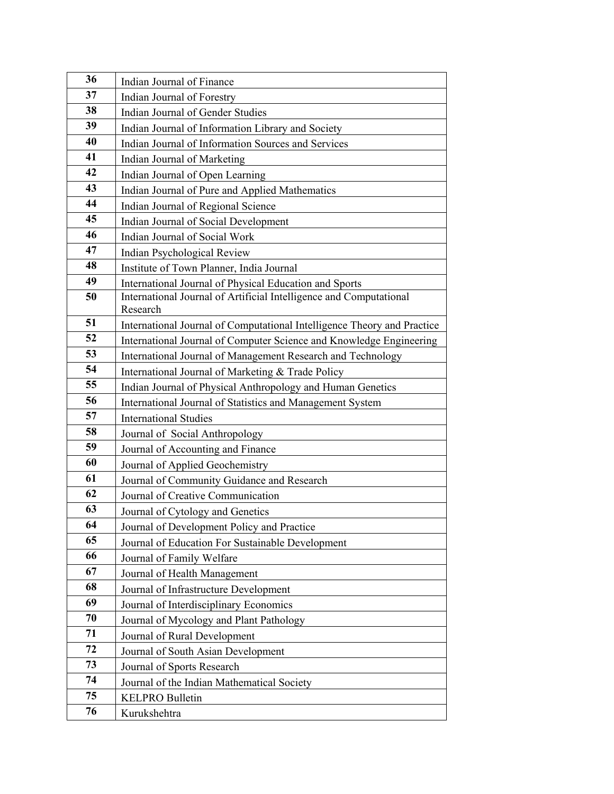| 36 | Indian Journal of Finance                                                      |
|----|--------------------------------------------------------------------------------|
| 37 | Indian Journal of Forestry                                                     |
| 38 | Indian Journal of Gender Studies                                               |
| 39 | Indian Journal of Information Library and Society                              |
| 40 | Indian Journal of Information Sources and Services                             |
| 41 | Indian Journal of Marketing                                                    |
| 42 | Indian Journal of Open Learning                                                |
| 43 | Indian Journal of Pure and Applied Mathematics                                 |
| 44 | Indian Journal of Regional Science                                             |
| 45 | Indian Journal of Social Development                                           |
| 46 | Indian Journal of Social Work                                                  |
| 47 | Indian Psychological Review                                                    |
| 48 | Institute of Town Planner, India Journal                                       |
| 49 | International Journal of Physical Education and Sports                         |
| 50 | International Journal of Artificial Intelligence and Computational<br>Research |
| 51 | International Journal of Computational Intelligence Theory and Practice        |
| 52 | International Journal of Computer Science and Knowledge Engineering            |
| 53 | International Journal of Management Research and Technology                    |
| 54 | International Journal of Marketing & Trade Policy                              |
| 55 | Indian Journal of Physical Anthropology and Human Genetics                     |
| 56 | International Journal of Statistics and Management System                      |
| 57 | <b>International Studies</b>                                                   |
| 58 | Journal of Social Anthropology                                                 |
| 59 | Journal of Accounting and Finance                                              |
| 60 | Journal of Applied Geochemistry                                                |
| 61 | Journal of Community Guidance and Research                                     |
| 62 | Journal of Creative Communication                                              |
| 63 | Journal of Cytology and Genetics                                               |
| 64 | Journal of Development Policy and Practice                                     |
| 65 | Journal of Education For Sustainable Development                               |
| 66 | Journal of Family Welfare                                                      |
| 67 | Journal of Health Management                                                   |
| 68 | Journal of Infrastructure Development                                          |
| 69 | Journal of Interdisciplinary Economics                                         |
| 70 | Journal of Mycology and Plant Pathology                                        |
| 71 | Journal of Rural Development                                                   |
| 72 | Journal of South Asian Development                                             |
| 73 | Journal of Sports Research                                                     |
| 74 | Journal of the Indian Mathematical Society                                     |
| 75 | <b>KELPRO Bulletin</b>                                                         |
| 76 | Kurukshehtra                                                                   |